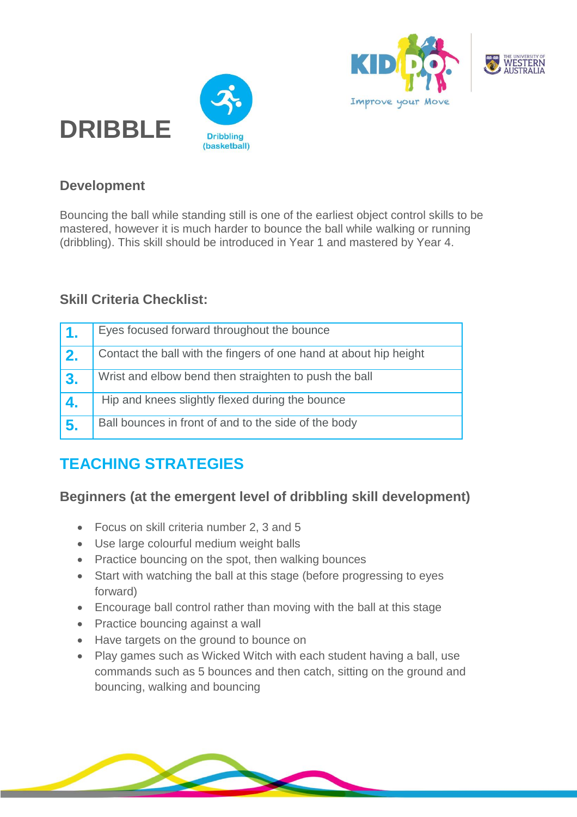



### **Development**

**DRIBBLE**

Bouncing the ball while standing still is one of the earliest object control skills to be mastered, however it is much harder to bounce the ball while walking or running (dribbling). This skill should be introduced in Year 1 and mastered by Year 4.

#### **Skill Criteria Checklist:**

| 1.             | Eyes focused forward throughout the bounce                        |
|----------------|-------------------------------------------------------------------|
| 2.             | Contact the ball with the fingers of one hand at about hip height |
| $^{\prime}$ 3. | Wrist and elbow bend then straighten to push the ball             |
| 4.             | Hip and knees slightly flexed during the bounce                   |
| 5.             | Ball bounces in front of and to the side of the body              |

# **TEACHING STRATEGIES**

#### **Beginners (at the emergent level of dribbling skill development)**

- Focus on skill criteria number 2, 3 and 5
- Use large colourful medium weight balls
- Practice bouncing on the spot, then walking bounces
- Start with watching the ball at this stage (before progressing to eyes forward)
- Encourage ball control rather than moving with the ball at this stage
- Practice bouncing against a wall
- Have targets on the ground to bounce on
- Play games such as Wicked Witch with each student having a ball, use commands such as 5 bounces and then catch, sitting on the ground and bouncing, walking and bouncing